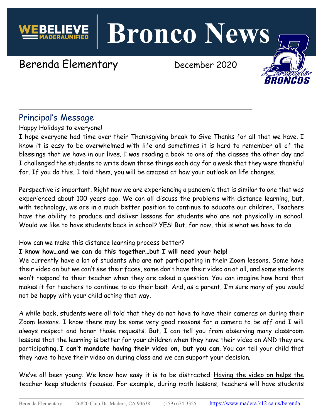**Bronco News**

# Berenda Elementary December 2020

## Principal's Message

Happy Holidays to everyone!

I hope everyone had time over their Thanksgiving break to Give Thanks for all that we have. I know it is easy to be overwhelmed with life and sometimes it is hard to remember all of the blessings that we have in our lives. I was reading a book to one of the classes the other day and I challenged the students to write down three things each day for a week that they were thankful for. If you do this, I told them, you will be amazed at how your outlook on life changes.

Perspective is important. Right now we are experiencing a pandemic that is similar to one that was experienced about 100 years ago. We can all discuss the problems with distance learning, but, with technology, we are in a much better position to continue to educate our children. Teachers have the ability to produce and deliver lessons for students who are not physically in school. Would we like to have students back in school? YES! But, for now, this is what we have to do.

#### How can we make this distance learning process better?

#### **I know how…and we can do this together…but I will need your help!**

We currently have a lot of students who are not participating in their Zoom lessons. Some have their video on but we can't see their faces, some don't have their video on at all, and some students won't respond to their teacher when they are asked a question. You can imagine how hard that makes it for teachers to continue to do their best. And, as a parent, I'm sure many of you would not be happy with your child acting that way.

A while back, students were all told that they do not have to have their cameras on during their Zoom lessons. I know there may be some very good reasons for a camera to be off and I will always respect and honor those requests. But, I can tell you from observing many classroom lessons that the learning is better for your children when they have their video on AND they are participating. **I can't mandate having their video on, but you can**. You can tell your child that they have to have their video on during class and we can support your decision.

We've all been young. We know how easy it is to be distracted. Having the video on helps the teacher keep students focused. For example, during math lessons, teachers will have students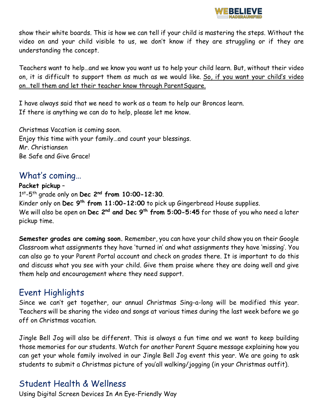

show their white boards. This is how we can tell if your child is mastering the steps. Without the video on and your child visible to us, we don't know if they are struggling or if they are understanding the concept.

Teachers want to help…and we know you want us to help your child learn. But, without their video on, it is difficult to support them as much as we would like. So, if you want your child's video on…tell them and let their teacher know through ParentSquare.

I have always said that we need to work as a team to help our Broncos learn. If there is anything we can do to help, please let me know.

Christmas Vacation is coming soon. Enjoy this time with your family…and count your blessings. Mr. Christiansen Be Safe and Give Grace!

#### What's coming…

#### **Packet pickup** –

1st-5th grade only on **Dec 2nd from 10:00-12:30**. Kinder only on **Dec 9th from 11:00-12:00** to pick up Gingerbread House supplies. We will also be open on **Dec 2nd and Dec 9th from 5:00-5:45** for those of you who need a later pickup time.

**Semester grades are coming soon.** Remember, you can have your child show you on their Google Classroom what assignments they have 'turned in' and what assignments they have 'missing'. You can also go to your Parent Portal account and check on grades there. It is important to do this and discuss what you see with your child. Give them praise where they are doing well and give them help and encouragement where they need support.

## Event Highlights

Since we can't get together, our annual Christmas Sing-a-long will be modified this year. Teachers will be sharing the video and songs at various times during the last week before we go off on Christmas vacation.

Jingle Bell Jog will also be different. This is always a fun time and we want to keep building those memories for our students. Watch for another Parent Square message explaining how you can get your whole family involved in our Jingle Bell Jog event this year. We are going to ask students to submit a Christmas picture of you'all walking/jogging (in your Christmas outfit).

#### Student Health & Wellness

Using Digital Screen Devices In An Eye-Friendly Way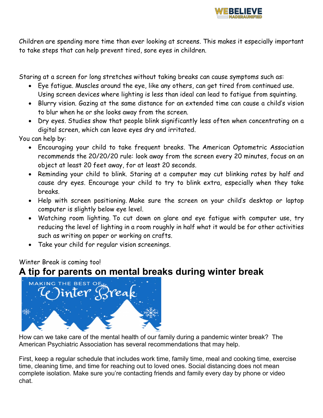

Children are spending more time than ever looking at screens. This makes it especially important to take steps that can help prevent tired, sore eyes in children.

Staring at a screen for long stretches without taking breaks can cause symptoms such as:

- Eye fatigue. Muscles around the eye, like any others, can get tired from continued use. Using screen devices where lighting is less than ideal can lead to fatigue from squinting.
- Blurry vision. Gazing at the same distance for an extended time can cause a child's vision to blur when he or she looks away from the screen.
- Dry eyes. Studies show that people blink significantly less often when concentrating on a digital screen, which can leave eyes dry and irritated.

You can help by:

- Encouraging your child to take frequent breaks. The American Optometric Association recommends the 20/20/20 rule: look away from the screen every 20 minutes, focus on an object at least 20 feet away, for at least 20 seconds.
- Reminding your child to blink. Staring at a computer may cut blinking rates by half and cause dry eyes. Encourage your child to try to blink extra, especially when they take breaks.
- Help with screen positioning. Make sure the screen on your child's desktop or laptop computer is slightly below eye level.
- Watching room lighting. To cut down on glare and eye fatigue with computer use, try reducing the level of lighting in a room roughly in half what it would be for other activities such as writing on paper or working on crafts.
- Take your child for regular vision screenings.

Winter Break is coming too!

## **A tip for parents on mental breaks during winter break**



How can we take care of the mental health of our family during a pandemic winter break? The American Psychiatric Association has several recommendations that may help.

First, keep a regular schedule that includes work time, family time, meal and cooking time, exercise time, cleaning time, and time for reaching out to loved ones. Social distancing does not mean complete isolation. Make sure you're contacting friends and family every day by phone or video chat.